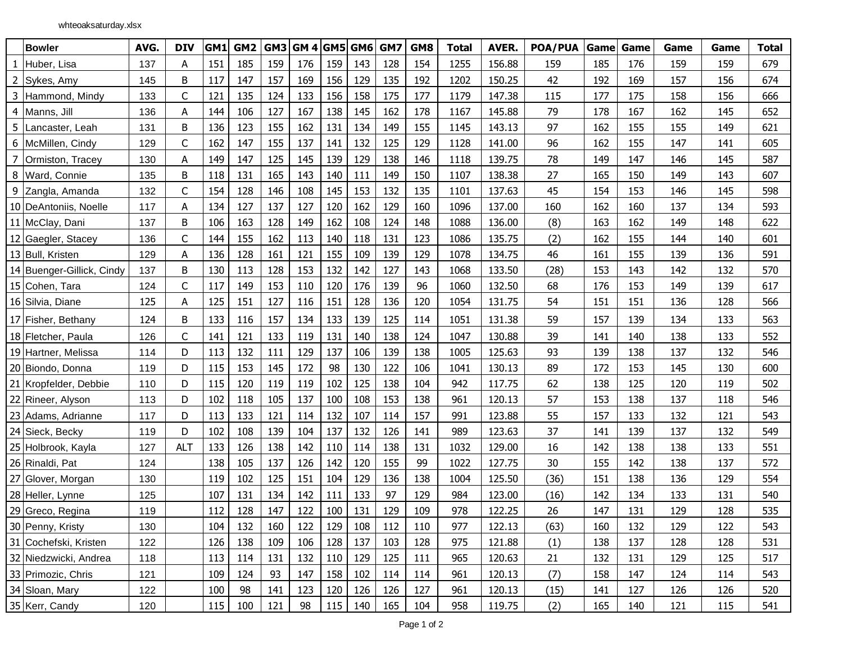|                | <b>Bowler</b>             | AVG. | <b>DIV</b>   | GM1 | GM <sub>2</sub> | GM3 | <b>GM 4 GM5 GM6</b> |     |     | GM7 | GM8 | <b>Total</b> | AVER.  | POA/PUA | Game | Game | Game | Game | <b>Total</b> |
|----------------|---------------------------|------|--------------|-----|-----------------|-----|---------------------|-----|-----|-----|-----|--------------|--------|---------|------|------|------|------|--------------|
| $\mathbf{1}$   | Huber, Lisa               | 137  | A            | 151 | 185             | 159 | 176                 | 159 | 143 | 128 | 154 | 1255         | 156.88 | 159     | 185  | 176  | 159  | 159  | 679          |
| $\overline{2}$ | Sykes, Amy                | 145  | В            | 117 | 147             | 157 | 169                 | 156 | 129 | 135 | 192 | 1202         | 150.25 | 42      | 192  | 169  | 157  | 156  | 674          |
| 3              | Hammond, Mindy            | 133  | $\mathsf{C}$ | 121 | 135             | 124 | 133                 | 156 | 158 | 175 | 177 | 1179         | 147.38 | 115     | 177  | 175  | 158  | 156  | 666          |
| 4              | Manns, Jill               | 136  | A            | 144 | 106             | 127 | 167                 | 138 | 145 | 162 | 178 | 1167         | 145.88 | 79      | 178  | 167  | 162  | 145  | 652          |
|                | 5 Lancaster, Leah         | 131  | B            | 136 | 123             | 155 | 162                 | 131 | 134 | 149 | 155 | 1145         | 143.13 | 97      | 162  | 155  | 155  | 149  | 621          |
| 6              | McMillen, Cindy           | 129  | C            | 162 | 147             | 155 | 137                 | 141 | 132 | 125 | 129 | 1128         | 141.00 | 96      | 162  | 155  | 147  | 141  | 605          |
| $\overline{7}$ | Ormiston, Tracey          | 130  | Α            | 149 | 147             | 125 | 145                 | 139 | 129 | 138 | 146 | 1118         | 139.75 | 78      | 149  | 147  | 146  | 145  | 587          |
| 8              | Ward, Connie              | 135  | B            | 118 | 131             | 165 | 143                 | 140 | 111 | 149 | 150 | 1107         | 138.38 | 27      | 165  | 150  | 149  | 143  | 607          |
|                | 9 Zangla, Amanda          | 132  | $\mathsf C$  | 154 | 128             | 146 | 108                 | 145 | 153 | 132 | 135 | 1101         | 137.63 | 45      | 154  | 153  | 146  | 145  | 598          |
|                | 10 DeAntoniis, Noelle     | 117  | A            | 134 | 127             | 137 | 127                 | 120 | 162 | 129 | 160 | 1096         | 137.00 | 160     | 162  | 160  | 137  | 134  | 593          |
|                | 11 McClay, Dani           | 137  | B            | 106 | 163             | 128 | 149                 | 162 | 108 | 124 | 148 | 1088         | 136.00 | (8)     | 163  | 162  | 149  | 148  | 622          |
|                | 12 Gaegler, Stacey        | 136  | C            | 144 | 155             | 162 | 113                 | 140 | 118 | 131 | 123 | 1086         | 135.75 | (2)     | 162  | 155  | 144  | 140  | 601          |
|                | 13 Bull, Kristen          | 129  | Α            | 136 | 128             | 161 | 121                 | 155 | 109 | 139 | 129 | 1078         | 134.75 | 46      | 161  | 155  | 139  | 136  | 591          |
|                | 14 Buenger-Gillick, Cindy | 137  | B            | 130 | 113             | 128 | 153                 | 132 | 142 | 127 | 143 | 1068         | 133.50 | (28)    | 153  | 143  | 142  | 132  | 570          |
|                | 15 Cohen, Tara            | 124  | C            | 117 | 149             | 153 | 110                 | 120 | 176 | 139 | 96  | 1060         | 132.50 | 68      | 176  | 153  | 149  | 139  | 617          |
|                | 16 Silvia, Diane          | 125  | Α            | 125 | 151             | 127 | 116                 | 151 | 128 | 136 | 120 | 1054         | 131.75 | 54      | 151  | 151  | 136  | 128  | 566          |
|                | 17 Fisher, Bethany        | 124  | В            | 133 | 116             | 157 | 134                 | 133 | 139 | 125 | 114 | 1051         | 131.38 | 59      | 157  | 139  | 134  | 133  | 563          |
|                | 18 Fletcher, Paula        | 126  | C            | 141 | 121             | 133 | 119                 | 131 | 140 | 138 | 124 | 1047         | 130.88 | 39      | 141  | 140  | 138  | 133  | 552          |
|                | 19 Hartner, Melissa       | 114  | D            | 113 | 132             | 111 | 129                 | 137 | 106 | 139 | 138 | 1005         | 125.63 | 93      | 139  | 138  | 137  | 132  | 546          |
|                | 20 Biondo, Donna          | 119  | D            | 115 | 153             | 145 | 172                 | 98  | 130 | 122 | 106 | 1041         | 130.13 | 89      | 172  | 153  | 145  | 130  | 600          |
|                | 21 Kropfelder, Debbie     | 110  | D            | 115 | 120             | 119 | 119                 | 102 | 125 | 138 | 104 | 942          | 117.75 | 62      | 138  | 125  | 120  | 119  | 502          |
|                | 22 Rineer, Alyson         | 113  | D            | 102 | 118             | 105 | 137                 | 100 | 108 | 153 | 138 | 961          | 120.13 | 57      | 153  | 138  | 137  | 118  | 546          |
|                | 23 Adams, Adrianne        | 117  | D            | 113 | 133             | 121 | 114                 | 132 | 107 | 114 | 157 | 991          | 123.88 | 55      | 157  | 133  | 132  | 121  | 543          |
|                | 24 Sieck, Becky           | 119  | D            | 102 | 108             | 139 | 104                 | 137 | 132 | 126 | 141 | 989          | 123.63 | 37      | 141  | 139  | 137  | 132  | 549          |
|                | 25 Holbrook, Kayla        | 127  | <b>ALT</b>   | 133 | 126             | 138 | 142                 | 110 | 114 | 138 | 131 | 1032         | 129.00 | 16      | 142  | 138  | 138  | 133  | 551          |
|                | 26 Rinaldi, Pat           | 124  |              | 138 | 105             | 137 | 126                 | 142 | 120 | 155 | 99  | 1022         | 127.75 | 30      | 155  | 142  | 138  | 137  | 572          |
|                | 27 Glover, Morgan         | 130  |              | 119 | 102             | 125 | 151                 | 104 | 129 | 136 | 138 | 1004         | 125.50 | (36)    | 151  | 138  | 136  | 129  | 554          |
|                | 28 Heller, Lynne          | 125  |              | 107 | 131             | 134 | 142                 | 111 | 133 | 97  | 129 | 984          | 123.00 | (16)    | 142  | 134  | 133  | 131  | 540          |
|                | 29 Greco, Regina          | 119  |              | 112 | 128             | 147 | 122                 | 100 | 131 | 129 | 109 | 978          | 122.25 | 26      | 147  | 131  | 129  | 128  | 535          |
|                | 30 Penny, Kristy          | 130  |              | 104 | 132             | 160 | 122                 | 129 | 108 | 112 | 110 | 977          | 122.13 | (63)    | 160  | 132  | 129  | 122  | 543          |
|                | 31 Cochefski, Kristen     | 122  |              | 126 | 138             | 109 | 106                 | 128 | 137 | 103 | 128 | 975          | 121.88 | (1)     | 138  | 137  | 128  | 128  | 531          |
|                | 32 Niedzwicki, Andrea     | 118  |              | 113 | 114             | 131 | 132                 | 110 | 129 | 125 | 111 | 965          | 120.63 | 21      | 132  | 131  | 129  | 125  | 517          |
|                | 33 Primozic, Chris        | 121  |              | 109 | 124             | 93  | 147                 | 158 | 102 | 114 | 114 | 961          | 120.13 | (7)     | 158  | 147  | 124  | 114  | 543          |
|                | 34 Sloan, Mary            | 122  |              | 100 | 98              | 141 | 123                 | 120 | 126 | 126 | 127 | 961          | 120.13 | (15)    | 141  | 127  | 126  | 126  | 520          |
|                | 35 Kerr, Candy            | 120  |              | 115 | 100             | 121 | 98                  | 115 | 140 | 165 | 104 | 958          | 119.75 | (2)     | 165  | 140  | 121  | 115  | 541          |